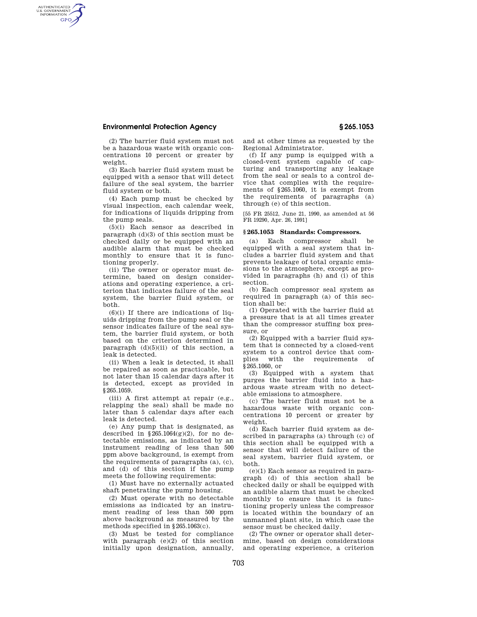# **Environmental Protection Agency § 265.1053**

AUTHENTICATED<br>U.S. GOVERNMENT<br>INFORMATION **GPO** 

(2) The barrier fluid system must not be a hazardous waste with organic concentrations 10 percent or greater by weight.

(3) Each barrier fluid system must be equipped with a sensor that will detect failure of the seal system, the barrier fluid system or both.

(4) Each pump must be checked by visual inspection, each calendar week, for indications of liquids dripping from the pump seals.

(5)(i) Each sensor as described in paragraph (d)(3) of this section must be checked daily or be equipped with an audible alarm that must be checked monthly to ensure that it is functioning properly.

(ii) The owner or operator must determine, based on design considerations and operating experience, a criterion that indicates failure of the seal system, the barrier fluid system, or both.

 $(6)(i)$  If there are indications of liquids dripping from the pump seal or the sensor indicates failure of the seal system, the barrier fluid system, or both based on the criterion determined in paragraph  $(d)(5)(ii)$  of this section, a leak is detected.

(ii) When a leak is detected, it shall be repaired as soon as practicable, but not later than 15 calendar days after it is detected, except as provided in §265.1059.

(iii) A first attempt at repair (e.g., relapping the seal) shall be made no later than 5 calendar days after each leak is detected.

(e) Any pump that is designated, as described in  $§265.1064(g)(2)$ , for no detectable emissions, as indicated by an instrument reading of less than 500 ppm above background, is exempt from the requirements of paragraphs (a), (c), and (d) of this section if the pump meets the following requirements:

(1) Must have no externally actuated shaft penetrating the pump housing.

(2) Must operate with no detectable emissions as indicated by an instrument reading of less than 500 ppm above background as measured by the methods specified in §265.1063(c).

(3) Must be tested for compliance with paragraph (e)(2) of this section initially upon designation, annually, and at other times as requested by the Regional Administrator.

(f) If any pump is equipped with a closed-vent system capable of capturing and transporting any leakage from the seal or seals to a control device that complies with the requirements of §265.1060, it is exempt from the requirements of paragraphs (a) through (e) of this section.

[55 FR 25512, June 21, 1990, as amended at 56 FR 19290, Apr. 26, 1991]

## **§ 265.1053 Standards: Compressors.**

(a) Each compressor shall be equipped with a seal system that includes a barrier fluid system and that prevents leakage of total organic emissions to the atmosphere, except as provided in paragraphs (h) and (i) of this section.

(b) Each compressor seal system as required in paragraph (a) of this section shall be:

(1) Operated with the barrier fluid at a pressure that is at all times greater than the compressor stuffing box pressure, or

(2) Equipped with a barrier fluid system that is connected by a closed-vent system to a control device that complies with the requirements §265.1060, or

(3) Equipped with a system that purges the barrier fluid into a hazardous waste stream with no detectable emissions to atmosphere.

(c) The barrier fluid must not be a hazardous waste with organic concentrations 10 percent or greater by weight.

(d) Each barrier fluid system as described in paragraphs (a) through (c) of this section shall be equipped with a sensor that will detect failure of the seal system, barrier fluid system, or both.

(e)(1) Each sensor as required in paragraph (d) of this section shall be checked daily or shall be equipped with an audible alarm that must be checked monthly to ensure that it is functioning properly unless the compressor is located within the boundary of an unmanned plant site, in which case the sensor must be checked daily.

(2) The owner or operator shall determine, based on design considerations and operating experience, a criterion